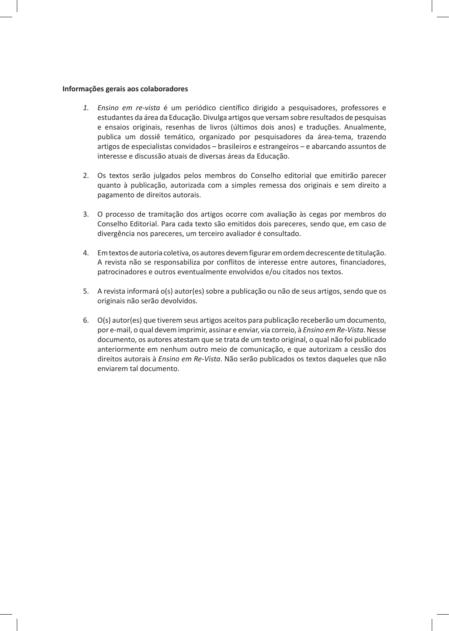#### **Informações gerais aos colaboradores**

- *1. Ensino em re-vista* é um periódico científico dirigido a pesquisadores, professores e estudantes da área da Educação. Divulga artigos que versam sobre resultados de pesquisas e ensaios originais, resenhas de livros (últimos dois anos) e traduções. Anualmente, publica um dossiê temático, organizado por pesquisadores da área-tema, trazendo artigos de especialistas convidados – brasileiros e estrangeiros – e abarcando assuntos de interesse e discussão atuais de diversas áreas da Educação.
- 2. Os textos serão julgados pelos membros do Conselho editorial que emitirão parecer quanto à publicação, autorizada com a simples remessa dos originais e sem direito a pagamento de direitos autorais.
- 3. O processo de tramitação dos artigos ocorre com avaliação às cegas por membros do Conselho Editorial. Para cada texto são emitidos dois pareceres, sendo que, em caso de divergência nos pareceres, um terceiro avaliador é consultado.
- 4. Em textos de autoria coletiva, os autores devem figurar em ordem decrescente de titulação. A revista não se responsabiliza por conflitos de interesse entre autores, financiadores, patrocinadores e outros eventualmente envolvidos e/ou citados nos textos.
- 5. A revista informará o(s) autor(es) sobre a publicação ou não de seus artigos, sendo que os originais não serão devolvidos.
- 6. O(s) autor(es) que tiverem seus artigos aceitos para publicação receberão um documento, por e-mail, o qual devem imprimir, assinar e enviar, via correio, à *Ensino em Re-Vista*. Nesse documento, os autores atestam que se trata de um texto original, o qual não foi publicado anteriormente em nenhum outro meio de comunicação, e que autorizam a cessão dos direitos autorais à *Ensino em Re-Vista*. Não serão publicados os textos daqueles que não enviarem tal documento.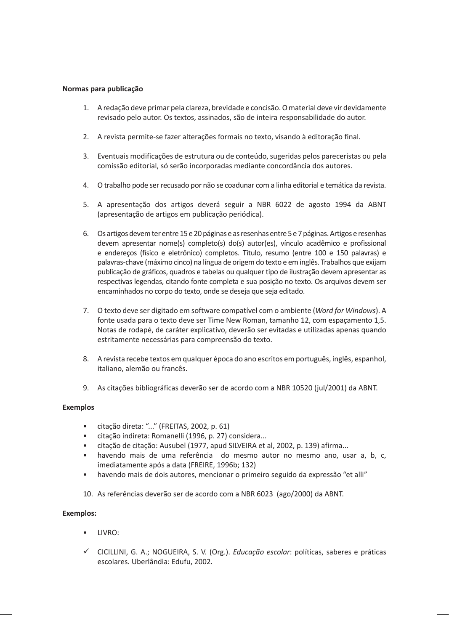## **Normas para publicação**

- 1. A redação deve primar pela clareza, brevidade e concisão. O material deve vir devidamente revisado pelo autor. Os textos, assinados, são de inteira responsabilidade do autor.
- 2. A revista permite-se fazer alterações formais no texto, visando à editoração final.
- 3. Eventuais modificações de estrutura ou de conteúdo, sugeridas pelos pareceristas ou pela comissão editorial, só serão incorporadas mediante concordância dos autores.
- 4. O trabalho pode ser recusado por não se coadunar com a linha editorial e temática da revista.
- 5. A apresentação dos artigos deverá seguir a NBR 6022 de agosto 1994 da ABNT (apresentação de artigos em publicação periódica).
- 6. Os artigos devem ter entre 15 e 20 páginas e as resenhas entre 5 e 7 páginas. Artigos e resenhas devem apresentar nome(s) completo(s) do(s) autor(es), vínculo acadêmico e profissional e endereços (físico e eletrônico) completos. Título, resumo (entre 100 e 150 palavras) e palavras-chave (máximo cinco) na língua de origem do texto e em inglês. Trabalhos que exijam publicação de gráficos, quadros e tabelas ou qualquer tipo de ilustração devem apresentar as respectivas legendas, citando fonte completa e sua posição no texto. Os arquivos devem ser encaminhados no corpo do texto, onde se deseja que seja editado.
- 7. O texto deve ser digitado em software compatível com o ambiente (*Word for Windows*). A fonte usada para o texto deve ser Time New Roman, tamanho 12, com espaçamento 1,5. Notas de rodapé, de caráter explicativo, deverão ser evitadas e utilizadas apenas quando estritamente necessárias para compreensão do texto.
- 8. A revista recebe textos em qualquer época do ano escritos em português, inglês, espanhol, italiano, alemão ou francês.
- 9. As citações bibliográficas deverão ser de acordo com a NBR 10520 (jul/2001) da ABNT.

#### **Exemplos**

- citação direta: "..." (FREITAS, 2002, p. 61)
- citação indireta: Romanelli (1996, p. 27) considera...
- citação de citação: Ausubel (1977, apud SILVEIRA et al, 2002, p. 139) afirma...
- havendo mais de uma referência do mesmo autor no mesmo ano, usar a, b, c, imediatamente após a data (FREIRE, 1996b; 132)
- havendo mais de dois autores, mencionar o primeiro seguido da expressão "et alli"
- 10. As referências deverão ser de acordo com a NBR 6023 (ago/2000) da ABNT.

## **Exemplos:**

- LIVRO:
- 9 CICILLINI, G. A.; NOGUEIRA, S. V. (Org.). *Educação escolar*: políticas, saberes e práticas escolares. Uberlândia: Edufu, 2002.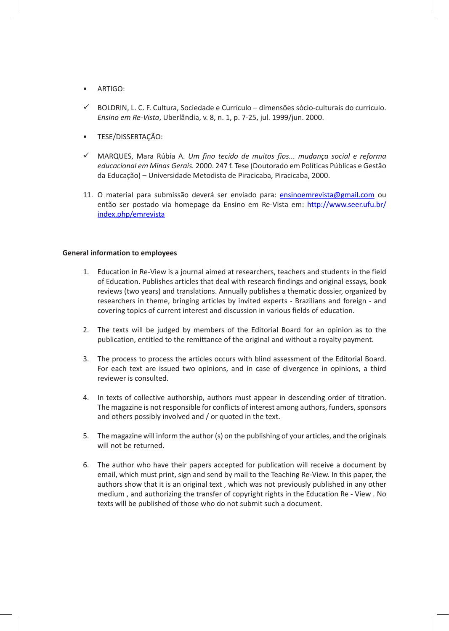- ARTIGO:
- $\checkmark$  BOLDRIN, L. C. F. Cultura, Sociedade e Currículo dimensões sócio-culturais do currículo. *Ensino em Re-Vista*, Uberlândia, v. 8, n. 1, p. 7-25, jul. 1999/jun. 2000.
- TESE/DISSERTAÇÃO:
- 9 MARQUES, Mara Rúbia A. *Um fino tecido de muitos fios... mudança social e reforma educacional em Minas Gerais.* 2000. 247 f. Tese (Doutorado em Políticas Públicas e Gestão da Educação) – Universidade Metodista de Piracicaba, Piracicaba, 2000.
- 11. O material para submissão deverá ser enviado para: ensinoemrevista@gmail.com ou então ser postado via homepage da Ensino em Re-Vista em: http://www.seer.ufu.br/ index.php/emrevista

#### **General information to employees**

- 1. Education in Re-View is a journal aimed at researchers, teachers and students in the field of Education. Publishes articles that deal with research findings and original essays, book reviews (two years) and translations. Annually publishes a thematic dossier, organized by researchers in theme, bringing articles by invited experts - Brazilians and foreign - and covering topics of current interest and discussion in various fields of education.
- 2. The texts will be judged by members of the Editorial Board for an opinion as to the publication, entitled to the remittance of the original and without a royalty payment.
- 3. The process to process the articles occurs with blind assessment of the Editorial Board. For each text are issued two opinions, and in case of divergence in opinions, a third reviewer is consulted.
- 4. In texts of collective authorship, authors must appear in descending order of titration. The magazine is not responsible for conflicts of interest among authors, funders, sponsors and others possibly involved and / or quoted in the text.
- 5. The magazine will inform the author (s) on the publishing of your articles, and the originals will not be returned.
- 6. The author who have their papers accepted for publication will receive a document by email, which must print, sign and send by mail to the Teaching Re-View. In this paper, the authors show that it is an original text , which was not previously published in any other medium , and authorizing the transfer of copyright rights in the Education Re - View . No texts will be published of those who do not submit such a document.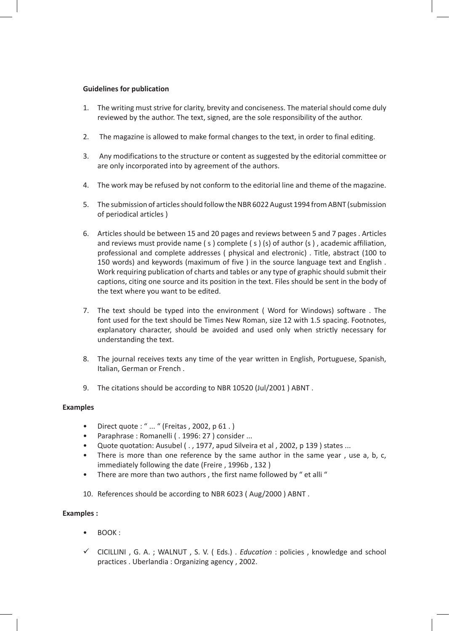## **Guidelines for publication**

- 1. The writing must strive for clarity, brevity and conciseness. The material should come duly reviewed by the author. The text, signed, are the sole responsibility of the author.
- 2. The magazine is allowed to make formal changes to the text, in order to final editing.
- 3. Any modifications to the structure or content as suggested by the editorial committee or are only incorporated into by agreement of the authors.
- 4. The work may be refused by not conform to the editorial line and theme of the magazine.
- 5. The submission of articles should follow the NBR 6022 August 1994 from ABNT (submission of periodical articles )
- 6. Articles should be between 15 and 20 pages and reviews between 5 and 7 pages . Articles and reviews must provide name  $(s)$  complete  $(s)$   $(s)$  of author  $(s)$ , academic affiliation, professional and complete addresses ( physical and electronic) . Title, abstract (100 to 150 words) and keywords (maximum of five ) in the source language text and English . Work requiring publication of charts and tables or any type of graphic should submit their captions, citing one source and its position in the text. Files should be sent in the body of the text where you want to be edited.
- 7. The text should be typed into the environment ( Word for Windows) software . The font used for the text should be Times New Roman, size 12 with 1.5 spacing. Footnotes, explanatory character, should be avoided and used only when strictly necessary for understanding the text.
- 8. The journal receives texts any time of the year written in English, Portuguese, Spanish, Italian, German or French .
- 9. The citations should be according to NBR 10520 (Jul/2001 ) ABNT .

#### **Examples**

- Direct quote : " ... " (Freitas , 2002, p 61 . )
- Paraphrase : Romanelli ( . 1996: 27 ) consider ...
- Quote quotation: Ausubel ( . , 1977, apud Silveira et al , 2002, p 139 ) states ...
- There is more than one reference by the same author in the same year, use a, b, c, immediately following the date (Freire , 1996b , 132 )
- There are more than two authors, the first name followed by "et alli "
- 10. References should be according to NBR 6023 ( Aug/2000 ) ABNT .

## **Examples :**

- BOOK :
- 9 CICILLINI , G. A. ; WALNUT , S. V. ( Eds.) . *Education* : policies , knowledge and school practices . Uberlandia : Organizing agency , 2002.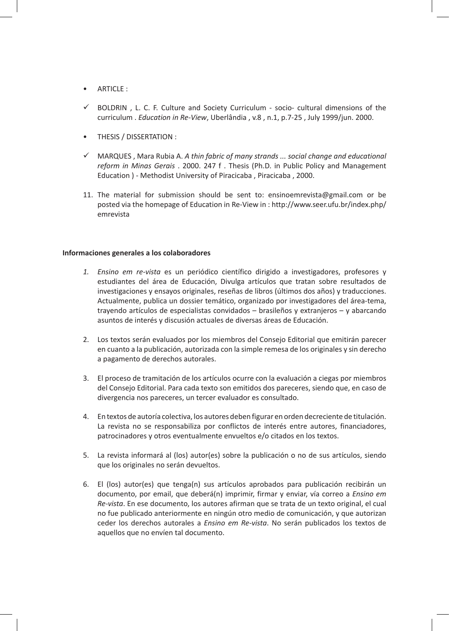- ARTICLE  $\cdot$
- $\checkmark$  BOLDRIN, L. C. F. Culture and Society Curriculum socio- cultural dimensions of the curriculum . *Education in Re-View*, Uberlândia , v.8 , n.1, p.7-25 , July 1999/jun. 2000.
- THESIS / DISSERTATION :
- $\checkmark$  MARQUES, Mara Rubia A. *A thin fabric of many strands ... social change and educational reform in Minas Gerais* . 2000. 247 f . Thesis (Ph.D. in Public Policy and Management Education ) - Methodist University of Piracicaba , Piracicaba , 2000.
- 11. The material for submission should be sent to: ensinoemrevista@gmail.com or be posted via the homepage of Education in Re-View in : http://www.seer.ufu.br/index.php/ emrevista

#### **Informaciones generales a los colaboradores**

- *1. Ensino em re-vista* es un periódico científico dirigido a investigadores, profesores y estudiantes del área de Educación, Divulga artículos que tratan sobre resultados de investigaciones y ensayos originales, reseñas de libros (últimos dos años) y traducciones. Actualmente, publica un dossier temático, organizado por investigadores del área-tema, trayendo artículos de especialistas convidados – brasileños y extranjeros – y abarcando asuntos de interés y discusión actuales de diversas áreas de Educación.
- 2. Los textos serán evaluados por los miembros del Consejo Editorial que emitirán parecer en cuanto a la publicación, autorizada con la simple remesa de los originales y sin derecho a pagamento de derechos autorales.
- 3. El proceso de tramitación de los artículos ocurre con la evaluación a ciegas por miembros del Consejo Editorial. Para cada texto son emitidos dos pareceres, siendo que, en caso de divergencia nos pareceres, un tercer evaluador es consultado.
- 4. En textos de autoría colectiva, los autores deben figurar en orden decreciente de titulación. La revista no se responsabiliza por conflictos de interés entre autores, financiadores, patrocinadores y otros eventualmente envueltos e/o citados en los textos.
- 5. La revista informará al (los) autor(es) sobre la publicación o no de sus artículos, siendo que los originales no serán devueltos.
- 6. El (los) autor(es) que tenga(n) sus artículos aprobados para publicación recibirán un documento, por email, que deberá(n) imprimir, firmar y enviar, vía correo a *Ensino em Re-vista*. En ese documento, los autores afirman que se trata de un texto original, el cual no fue publicado anteriormente en ningún otro medio de comunicación, y que autorizan ceder los derechos autorales a *Ensino em Re-vista*. No serán publicados los textos de aquellos que no envíen tal documento.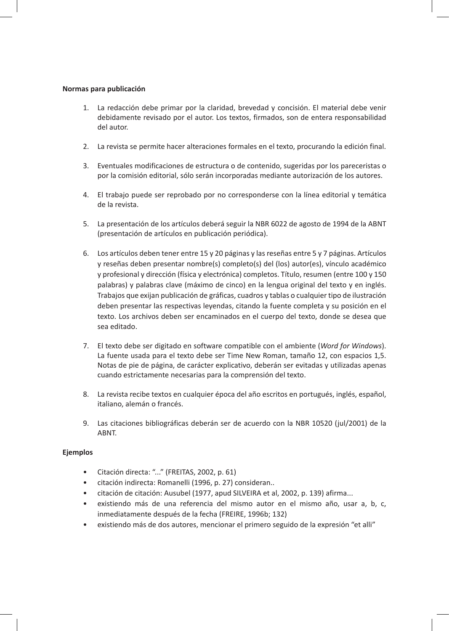#### **Normas para publicación**

- 1. La redacción debe primar por la claridad, brevedad y concisión. El material debe venir debidamente revisado por el autor. Los textos, firmados, son de entera responsabilidad del autor.
- 2. La revista se permite hacer alteraciones formales en el texto, procurando la edición final.
- 3. Eventuales modificaciones de estructura o de contenido, sugeridas por los pareceristas o por la comisión editorial, sólo serán incorporadas mediante autorización de los autores.
- 4. El trabajo puede ser reprobado por no corresponderse con la línea editorial y temática de la revista.
- 5. La presentación de los artículos deberá seguir la NBR 6022 de agosto de 1994 de la ABNT (presentación de artículos en publicación periódica).
- 6. Los artículos deben tener entre 15 y 20 páginas y las reseñas entre 5 y 7 páginas. Artículos y reseñas deben presentar nombre(s) completo(s) del (los) autor(es), vínculo académico y profesional y dirección (física y electrónica) completos. Título, resumen (entre 100 y 150 palabras) y palabras clave (máximo de cinco) en la lengua original del texto y en inglés. Trabajos que exijan publicación de gráficas, cuadros y tablas o cualquier tipo de ilustración deben presentar las respectivas leyendas, citando la fuente completa y su posición en el texto. Los archivos deben ser encaminados en el cuerpo del texto, donde se desea que sea editado.
- 7. El texto debe ser digitado en software compatible con el ambiente (*Word for Windows*). La fuente usada para el texto debe ser Time New Roman, tamaño 12, con espacios 1,5. Notas de pie de página, de carácter explicativo, deberán ser evitadas y utilizadas apenas cuando estrictamente necesarias para la comprensión del texto.
- 8. La revista recibe textos en cualquier época del año escritos en portugués, inglés, español, italiano, alemán o francés.
- 9. Las citaciones bibliográficas deberán ser de acuerdo con la NBR 10520 (jul/2001) de la ABNT.

## **Ejemplos**

- Citación directa: "..." (FREITAS, 2002, p. 61)
- citación indirecta: Romanelli (1996, p. 27) consideran..
- citación de citación: Ausubel (1977, apud SILVEIRA et al, 2002, p. 139) afirma...
- existiendo más de una referencia del mismo autor en el mismo año, usar a, b, c, inmediatamente después de la fecha (FREIRE, 1996b; 132)
- existiendo más de dos autores, mencionar el primero seguido de la expresión "et alli"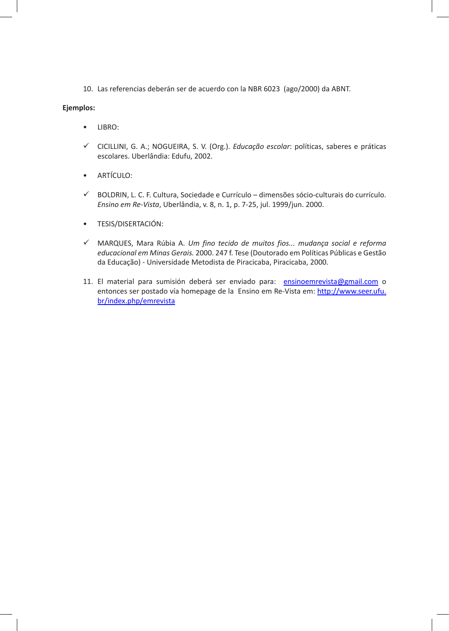10. Las referencias deberán ser de acuerdo con la NBR 6023 (ago/2000) da ABNT.

## **Ejemplos:**

- LIBRO:
- 9 CICILLINI, G. A.; NOGUEIRA, S. V. (Org.). *Educação escolar*: políticas, saberes e práticas escolares. Uberlândia: Edufu, 2002.
- ARTÍCULO:
- 9 BOLDRIN, L. C. F. Cultura, Sociedade e Currículo dimensões sócio-culturais do currículo. *Ensino em Re-Vista*, Uberlândia, v. 8, n. 1, p. 7-25, jul. 1999/jun. 2000.
- TESIS/DISERTACIÓN:
- 9 MARQUES, Mara Rúbia A. *Um fino tecido de muitos fios... mudança social e reforma educacional em Minas Gerais.* 2000. 247 f. Tese (Doutorado em Políticas Públicas e Gestão da Educação) - Universidade Metodista de Piracicaba, Piracicaba, 2000.
- 11. El material para sumisión deberá ser enviado para: ensinoemrevista@gmail.com o entonces ser postado vía homepage de la Ensino em Re-Vista em: http://www.seer.ufu. br/index.php/emrevista